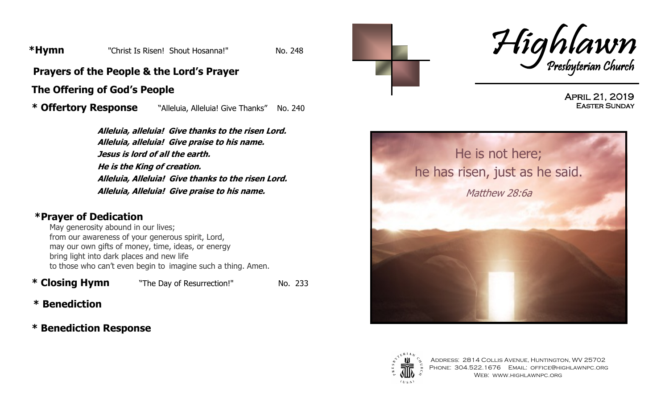**\*Hymn** "Christ Is Risen! Shout Hosanna!" No. 248

**Prayers of the People & the Lord's Prayer**

#### **The Offering of God's People**

 **\* Offertory Response** "Alleluia, Alleluia! Give Thanks" No. 240

**Alleluia, alleluia! Give thanks to the risen Lord. Alleluia, alleluia! Give praise to his name. Jesus is lord of all the earth. He is the King of creation. Alleluia, Alleluia! Give thanks to the risen Lord. Alleluia, Alleluia! Give praise to his name.**

#### **\*Prayer of Dedication**

May generosity abound in our lives; from our awareness of your generous spirit, Lord, may our own gifts of money, time, ideas, or energy bring light into dark places and new life to those who can't even begin to imagine such a thing. Amen.

**\* Closing Hymn** The Day of Resurrection!" No. 233

- **\* Benediction**
- **\* Benediction Response**





April 21, 2019 Easter Sunday